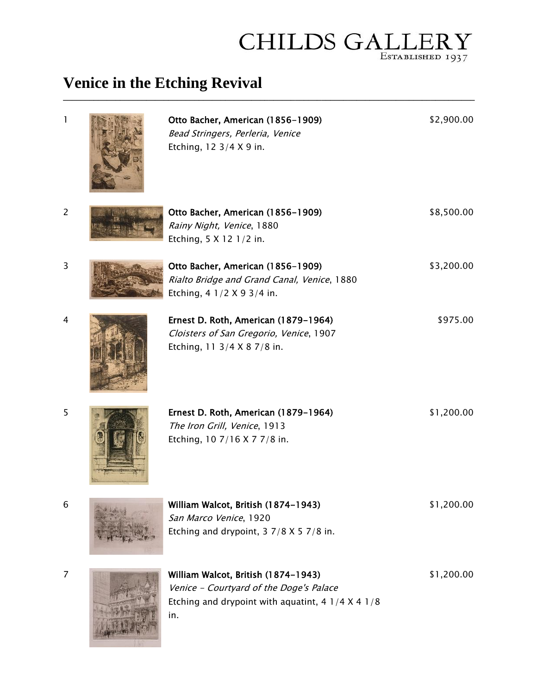## $\label{eq:1} \textbf{CHILDS} \ \textbf{GA}\underset{\textsc{Estability} \text{BUSHED 1937}}{\textbf{LLERY}}$

## **Venice in the Etching Revival**

| 1              | Otto Bacher, American (1856-1909)<br>Bead Stringers, Perleria, Venice<br>Etching, 12 3/4 X 9 in.                                               | \$2,900.00 |
|----------------|------------------------------------------------------------------------------------------------------------------------------------------------|------------|
| $\overline{c}$ | Otto Bacher, American (1856-1909)<br>Rainy Night, Venice, 1880<br>Etching, 5 X 12 1/2 in.                                                      | \$8,500.00 |
| 3              | Otto Bacher, American (1856-1909)<br>Rialto Bridge and Grand Canal, Venice, 1880<br>Etching, 4 1/2 X 9 3/4 in.                                 | \$3,200.00 |
| 4              | Ernest D. Roth, American (1879-1964)<br>Cloisters of San Gregorio, Venice, 1907<br>Etching, 11 3/4 X 8 7/8 in.                                 | \$975.00   |
| 5              | Ernest D. Roth, American (1879-1964)<br>The Iron Grill, Venice, 1913<br>Etching, 10 7/16 X 7 7/8 in.                                           | \$1,200.00 |
| 6              | William Walcot, British (1874-1943)<br>San Marco Venice, 1920<br>Etching and drypoint, $3 \frac{7}{8} \times 5 \frac{7}{8}$ in.                | \$1,200.00 |
| $\overline{7}$ | William Walcot, British (1874-1943)<br>Venice - Courtyard of the Doge's Palace<br>Etching and drypoint with aquatint, 4 $1/4$ X 4 $1/8$<br>in. | \$1,200.00 |

**\_\_\_\_\_\_\_\_\_\_\_\_\_\_\_\_\_\_\_\_\_\_\_\_\_\_\_\_\_\_\_\_\_\_\_\_\_\_\_\_\_\_\_\_\_\_\_\_\_\_\_\_\_\_\_\_\_\_\_\_\_\_\_\_\_\_\_\_\_\_\_\_\_\_\_\_\_\_\_\_\_\_\_\_\_\_\_\_\_\_\_\_\_\_**